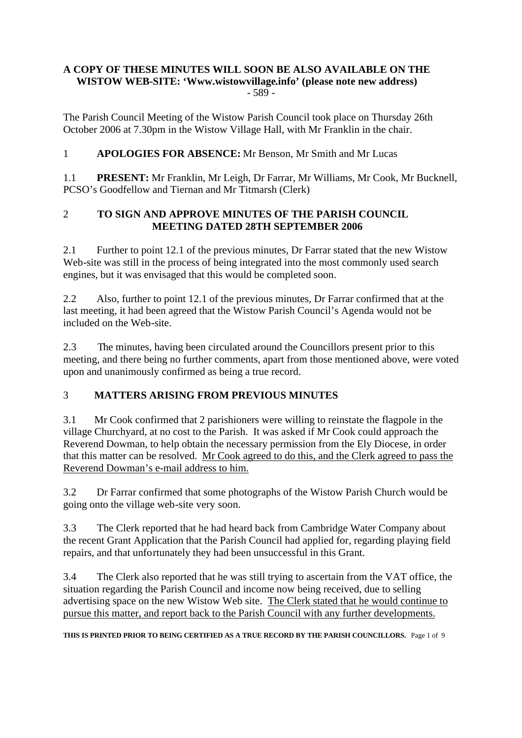#### **A COPY OF THESE MINUTES WILL SOON BE ALSO AVAILABLE ON THE WISTOW WEB-SITE: 'Www.wistowvillage.info' (please note new address)**  $-589-$

The Parish Council Meeting of the Wistow Parish Council took place on Thursday 26th October 2006 at 7.30pm in the Wistow Village Hall, with Mr Franklin in the chair.

## 1 **APOLOGIES FOR ABSENCE:** Mr Benson, Mr Smith and Mr Lucas

1.1 **PRESENT:** Mr Franklin, Mr Leigh, Dr Farrar, Mr Williams, Mr Cook, Mr Bucknell, PCSO's Goodfellow and Tiernan and Mr Titmarsh (Clerk)

### 2 **TO SIGN AND APPROVE MINUTES OF THE PARISH COUNCIL MEETING DATED 28TH SEPTEMBER 2006**

2.1 Further to point 12.1 of the previous minutes, Dr Farrar stated that the new Wistow Web-site was still in the process of being integrated into the most commonly used search engines, but it was envisaged that this would be completed soon.

2.2 Also, further to point 12.1 of the previous minutes, Dr Farrar confirmed that at the last meeting, it had been agreed that the Wistow Parish Council's Agenda would not be included on the Web-site.

2.3 The minutes, having been circulated around the Councillors present prior to this meeting, and there being no further comments, apart from those mentioned above, were voted upon and unanimously confirmed as being a true record.

### 3 **MATTERS ARISING FROM PREVIOUS MINUTES**

3.1 Mr Cook confirmed that 2 parishioners were willing to reinstate the flagpole in the village Churchyard, at no cost to the Parish. It was asked if Mr Cook could approach the Reverend Dowman, to help obtain the necessary permission from the Ely Diocese, in order that this matter can be resolved. Mr Cook agreed to do this, and the Clerk agreed to pass the Reverend Dowman's e-mail address to him.

3.2 Dr Farrar confirmed that some photographs of the Wistow Parish Church would be going onto the village web-site very soon.

3.3 The Clerk reported that he had heard back from Cambridge Water Company about the recent Grant Application that the Parish Council had applied for, regarding playing field repairs, and that unfortunately they had been unsuccessful in this Grant.

3.4 The Clerk also reported that he was still trying to ascertain from the VAT office, the situation regarding the Parish Council and income now being received, due to selling advertising space on the new Wistow Web site. The Clerk stated that he would continue to pursue this matter, and report back to the Parish Council with any further developments.

**THIS IS PRINTED PRIOR TO BEING CERTIFIED AS A TRUE RECORD BY THE PARISH COUNCILLORS.** Page 1 of 9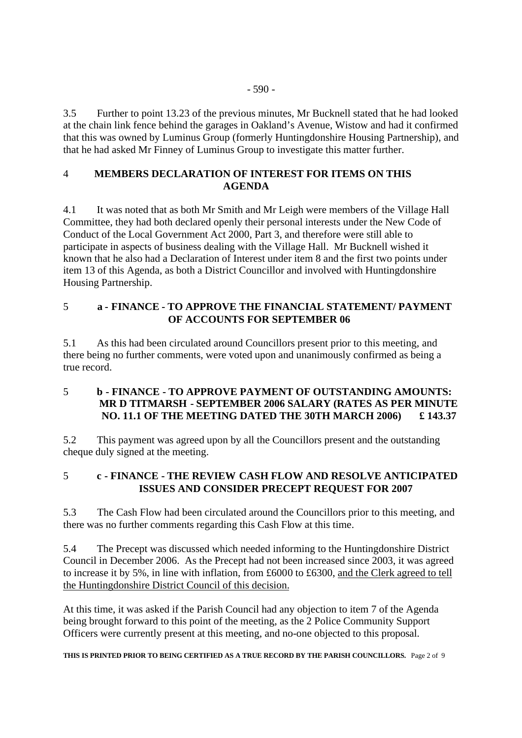3.5 Further to point 13.23 of the previous minutes, Mr Bucknell stated that he had looked at the chain link fence behind the garages in Oakland's Avenue, Wistow and had it confirmed that this was owned by Luminus Group (formerly Huntingdonshire Housing Partnership), and that he had asked Mr Finney of Luminus Group to investigate this matter further.

### 4 **MEMBERS DECLARATION OF INTEREST FOR ITEMS ON THIS AGENDA**

4.1 It was noted that as both Mr Smith and Mr Leigh were members of the Village Hall Committee, they had both declared openly their personal interests under the New Code of Conduct of the Local Government Act 2000, Part 3, and therefore were still able to participate in aspects of business dealing with the Village Hall. Mr Bucknell wished it known that he also had a Declaration of Interest under item 8 and the first two points under item 13 of this Agenda, as both a District Councillor and involved with Huntingdonshire Housing Partnership.

### 5 **a - FINANCE - TO APPROVE THE FINANCIAL STATEMENT/ PAYMENT OF ACCOUNTS FOR SEPTEMBER 06**

5.1 As this had been circulated around Councillors present prior to this meeting, and there being no further comments, were voted upon and unanimously confirmed as being a true record.

### 5 **b - FINANCE - TO APPROVE PAYMENT OF OUTSTANDING AMOUNTS: MR D TITMARSH - SEPTEMBER 2006 SALARY (RATES AS PER MINUTE NO. 11.1 OF THE MEETING DATED THE 30TH MARCH 2006) £ 143.37**

5.2 This payment was agreed upon by all the Councillors present and the outstanding cheque duly signed at the meeting.

## 5 **c - FINANCE - THE REVIEW CASH FLOW AND RESOLVE ANTICIPATED ISSUES AND CONSIDER PRECEPT REQUEST FOR 2007**

5.3 The Cash Flow had been circulated around the Councillors prior to this meeting, and there was no further comments regarding this Cash Flow at this time.

5.4 The Precept was discussed which needed informing to the Huntingdonshire District Council in December 2006. As the Precept had not been increased since 2003, it was agreed to increase it by 5%, in line with inflation, from £6000 to £6300, and the Clerk agreed to tell the Huntingdonshire District Council of this decision.

At this time, it was asked if the Parish Council had any objection to item 7 of the Agenda being brought forward to this point of the meeting, as the 2 Police Community Support Officers were currently present at this meeting, and no-one objected to this proposal.

**THIS IS PRINTED PRIOR TO BEING CERTIFIED AS A TRUE RECORD BY THE PARISH COUNCILLORS.** Page 2 of 9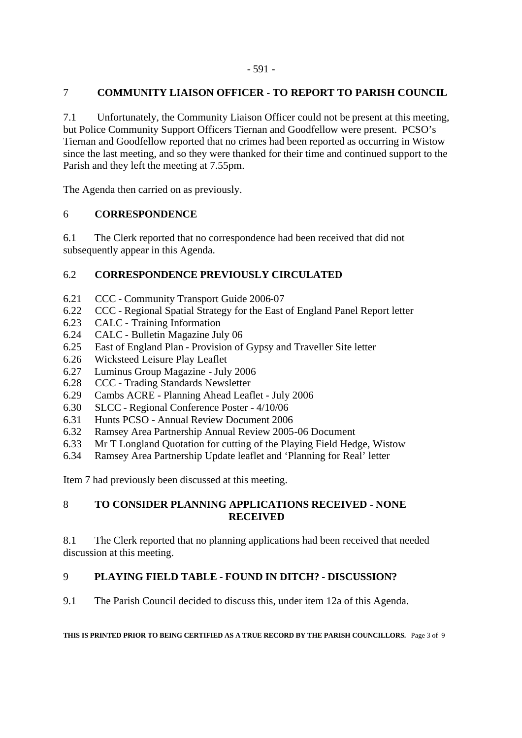## 7 **COMMUNITY LIAISON OFFICER - TO REPORT TO PARISH COUNCIL**

7.1 Unfortunately, the Community Liaison Officer could not be present at this meeting, but Police Community Support Officers Tiernan and Goodfellow were present. PCSO's Tiernan and Goodfellow reported that no crimes had been reported as occurring in Wistow since the last meeting, and so they were thanked for their time and continued support to the Parish and they left the meeting at 7.55pm.

The Agenda then carried on as previously.

## 6 **CORRESPONDENCE**

6.1 The Clerk reported that no correspondence had been received that did not subsequently appear in this Agenda.

## 6.2 **CORRESPONDENCE PREVIOUSLY CIRCULATED**

- 6.21 CCC Community Transport Guide 2006-07
- 6.22 CCC Regional Spatial Strategy for the East of England Panel Report letter
- 6.23 CALC Training Information
- 6.24 CALC Bulletin Magazine July 06
- 6.25 East of England Plan Provision of Gypsy and Traveller Site letter
- 6.26 Wicksteed Leisure Play Leaflet
- 6.27 Luminus Group Magazine July 2006
- 6.28 CCC Trading Standards Newsletter
- 6.29 Cambs ACRE Planning Ahead Leaflet July 2006
- 6.30 SLCC Regional Conference Poster 4/10/06
- 6.31 Hunts PCSO Annual Review Document 2006
- 6.32 Ramsey Area Partnership Annual Review 2005-06 Document
- 6.33 Mr T Longland Quotation for cutting of the Playing Field Hedge, Wistow
- 6.34 Ramsey Area Partnership Update leaflet and 'Planning for Real' letter

Item 7 had previously been discussed at this meeting.

## 8 **TO CONSIDER PLANNING APPLICATIONS RECEIVED - NONE RECEIVED**

8.1 The Clerk reported that no planning applications had been received that needed discussion at this meeting.

## 9 **PLAYING FIELD TABLE - FOUND IN DITCH? - DISCUSSION?**

9.1 The Parish Council decided to discuss this, under item 12a of this Agenda.

#### **THIS IS PRINTED PRIOR TO BEING CERTIFIED AS A TRUE RECORD BY THE PARISH COUNCILLORS.** Page 3 of 9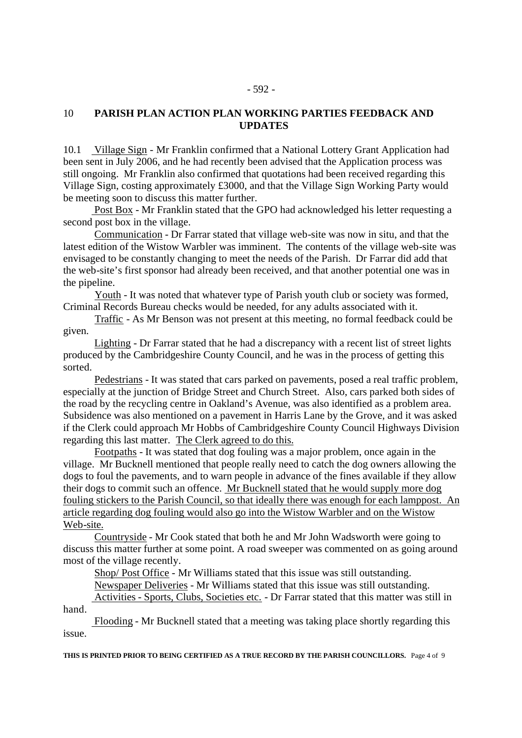#### 10 **PARISH PLAN ACTION PLAN WORKING PARTIES FEEDBACK AND UPDATES**

10.1 Village Sign - Mr Franklin confirmed that a National Lottery Grant Application had been sent in July 2006, and he had recently been advised that the Application process was still ongoing. Mr Franklin also confirmed that quotations had been received regarding this Village Sign, costing approximately £3000, and that the Village Sign Working Party would be meeting soon to discuss this matter further.

 Post Box - Mr Franklin stated that the GPO had acknowledged his letter requesting a second post box in the village.

 Communication - Dr Farrar stated that village web-site was now in situ, and that the latest edition of the Wistow Warbler was imminent. The contents of the village web-site was envisaged to be constantly changing to meet the needs of the Parish. Dr Farrar did add that the web-site's first sponsor had already been received, and that another potential one was in the pipeline.

 Youth - It was noted that whatever type of Parish youth club or society was formed, Criminal Records Bureau checks would be needed, for any adults associated with it.

 Traffic - As Mr Benson was not present at this meeting, no formal feedback could be given.

 Lighting - Dr Farrar stated that he had a discrepancy with a recent list of street lights produced by the Cambridgeshire County Council, and he was in the process of getting this sorted.

 Pedestrians - It was stated that cars parked on pavements, posed a real traffic problem, especially at the junction of Bridge Street and Church Street. Also, cars parked both sides of the road by the recycling centre in Oakland's Avenue, was also identified as a problem area. Subsidence was also mentioned on a pavement in Harris Lane by the Grove, and it was asked if the Clerk could approach Mr Hobbs of Cambridgeshire County Council Highways Division regarding this last matter. The Clerk agreed to do this.

 Footpaths - It was stated that dog fouling was a major problem, once again in the village. Mr Bucknell mentioned that people really need to catch the dog owners allowing the dogs to foul the pavements, and to warn people in advance of the fines available if they allow their dogs to commit such an offence. Mr Bucknell stated that he would supply more dog fouling stickers to the Parish Council, so that ideally there was enough for each lamppost. An article regarding dog fouling would also go into the Wistow Warbler and on the Wistow Web-site.

 Countryside - Mr Cook stated that both he and Mr John Wadsworth were going to discuss this matter further at some point. A road sweeper was commented on as going around most of the village recently.

Shop/ Post Office - Mr Williams stated that this issue was still outstanding.

Newspaper Deliveries - Mr Williams stated that this issue was still outstanding.

 Activities - Sports, Clubs, Societies etc. - Dr Farrar stated that this matter was still in hand.

 Flooding - Mr Bucknell stated that a meeting was taking place shortly regarding this issue.

**THIS IS PRINTED PRIOR TO BEING CERTIFIED AS A TRUE RECORD BY THE PARISH COUNCILLORS.** Page 4 of 9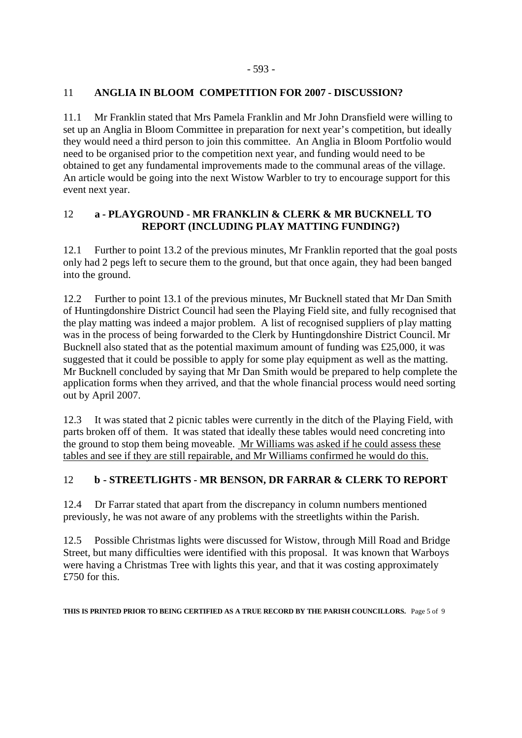#### 11 **ANGLIA IN BLOOM COMPETITION FOR 2007 - DISCUSSION?**

11.1 Mr Franklin stated that Mrs Pamela Franklin and Mr John Dransfield were willing to set up an Anglia in Bloom Committee in preparation for next year's competition, but ideally they would need a third person to join this committee. An Anglia in Bloom Portfolio would need to be organised prior to the competition next year, and funding would need to be obtained to get any fundamental improvements made to the communal areas of the village. An article would be going into the next Wistow Warbler to try to encourage support for this event next year.

### 12 **a - PLAYGROUND - MR FRANKLIN & CLERK & MR BUCKNELL TO REPORT (INCLUDING PLAY MATTING FUNDING?)**

12.1 Further to point 13.2 of the previous minutes, Mr Franklin reported that the goal posts only had 2 pegs left to secure them to the ground, but that once again, they had been banged into the ground.

12.2 Further to point 13.1 of the previous minutes, Mr Bucknell stated that Mr Dan Smith of Huntingdonshire District Council had seen the Playing Field site, and fully recognised that the play matting was indeed a major problem. A list of recognised suppliers of play matting was in the process of being forwarded to the Clerk by Huntingdonshire District Council. Mr Bucknell also stated that as the potential maximum amount of funding was £25,000, it was suggested that it could be possible to apply for some play equipment as well as the matting. Mr Bucknell concluded by saying that Mr Dan Smith would be prepared to help complete the application forms when they arrived, and that the whole financial process would need sorting out by April 2007.

12.3 It was stated that 2 picnic tables were currently in the ditch of the Playing Field, with parts broken off of them. It was stated that ideally these tables would need concreting into the ground to stop them being moveable. Mr Williams was asked if he could assess these tables and see if they are still repairable, and Mr Williams confirmed he would do this.

### 12 **b - STREETLIGHTS - MR BENSON, DR FARRAR & CLERK TO REPORT**

12.4 Dr Farrar stated that apart from the discrepancy in column numbers mentioned previously, he was not aware of any problems with the streetlights within the Parish.

12.5 Possible Christmas lights were discussed for Wistow, through Mill Road and Bridge Street, but many difficulties were identified with this proposal. It was known that Warboys were having a Christmas Tree with lights this year, and that it was costing approximately £750 for this.

**THIS IS PRINTED PRIOR TO BEING CERTIFIED AS A TRUE RECORD BY THE PARISH COUNCILLORS.** Page 5 of 9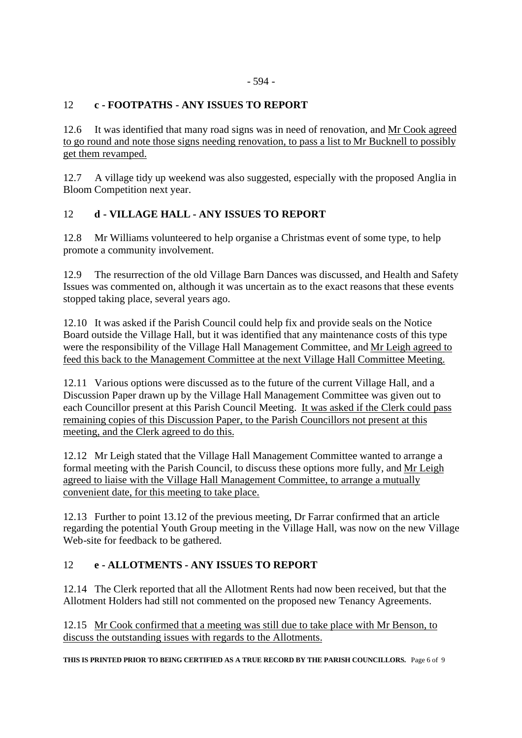## 12 **c - FOOTPATHS - ANY ISSUES TO REPORT**

12.6 It was identified that many road signs was in need of renovation, and Mr Cook agreed to go round and note those signs needing renovation, to pass a list to Mr Bucknell to possibly get them revamped.

12.7 A village tidy up weekend was also suggested, especially with the proposed Anglia in Bloom Competition next year.

## 12 **d - VILLAGE HALL - ANY ISSUES TO REPORT**

12.8 Mr Williams volunteered to help organise a Christmas event of some type, to help promote a community involvement.

12.9 The resurrection of the old Village Barn Dances was discussed, and Health and Safety Issues was commented on, although it was uncertain as to the exact reasons that these events stopped taking place, several years ago.

12.10 It was asked if the Parish Council could help fix and provide seals on the Notice Board outside the Village Hall, but it was identified that any maintenance costs of this type were the responsibility of the Village Hall Management Committee, and Mr Leigh agreed to feed this back to the Management Committee at the next Village Hall Committee Meeting.

12.11 Various options were discussed as to the future of the current Village Hall, and a Discussion Paper drawn up by the Village Hall Management Committee was given out to each Councillor present at this Parish Council Meeting. It was asked if the Clerk could pass remaining copies of this Discussion Paper, to the Parish Councillors not present at this meeting, and the Clerk agreed to do this.

12.12 Mr Leigh stated that the Village Hall Management Committee wanted to arrange a formal meeting with the Parish Council, to discuss these options more fully, and Mr Leigh agreed to liaise with the Village Hall Management Committee, to arrange a mutually convenient date, for this meeting to take place.

12.13 Further to point 13.12 of the previous meeting, Dr Farrar confirmed that an article regarding the potential Youth Group meeting in the Village Hall, was now on the new Village Web-site for feedback to be gathered.

### 12 **e - ALLOTMENTS - ANY ISSUES TO REPORT**

12.14 The Clerk reported that all the Allotment Rents had now been received, but that the Allotment Holders had still not commented on the proposed new Tenancy Agreements.

12.15 Mr Cook confirmed that a meeting was still due to take place with Mr Benson, to discuss the outstanding issues with regards to the Allotments.

**THIS IS PRINTED PRIOR TO BEING CERTIFIED AS A TRUE RECORD BY THE PARISH COUNCILLORS.** Page 6 of 9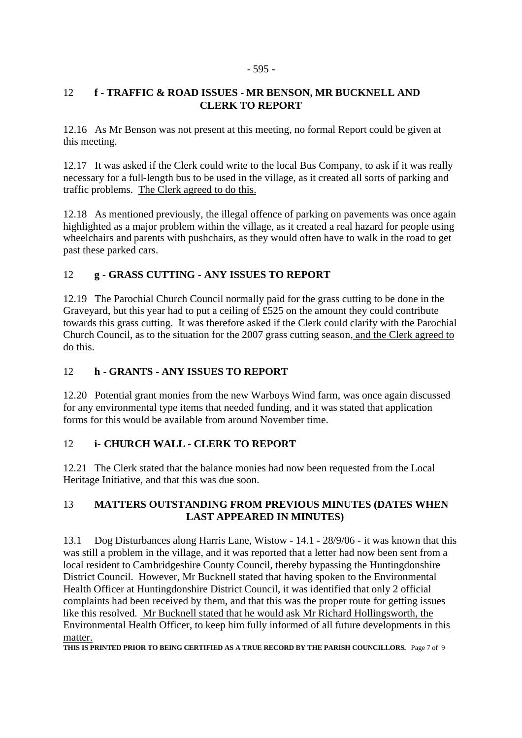#### - 595 -

### 12 **f - TRAFFIC & ROAD ISSUES - MR BENSON, MR BUCKNELL AND CLERK TO REPORT**

12.16 As Mr Benson was not present at this meeting, no formal Report could be given at this meeting.

12.17 It was asked if the Clerk could write to the local Bus Company, to ask if it was really necessary for a full-length bus to be used in the village, as it created all sorts of parking and traffic problems. The Clerk agreed to do this.

12.18 As mentioned previously, the illegal offence of parking on pavements was once again highlighted as a major problem within the village, as it created a real hazard for people using wheelchairs and parents with pushchairs, as they would often have to walk in the road to get past these parked cars.

## 12 **g - GRASS CUTTING - ANY ISSUES TO REPORT**

12.19 The Parochial Church Council normally paid for the grass cutting to be done in the Graveyard, but this year had to put a ceiling of £525 on the amount they could contribute towards this grass cutting. It was therefore asked if the Clerk could clarify with the Parochial Church Council, as to the situation for the 2007 grass cutting season, and the Clerk agreed to do this.

### 12 **h - GRANTS - ANY ISSUES TO REPORT**

12.20 Potential grant monies from the new Warboys Wind farm, was once again discussed for any environmental type items that needed funding, and it was stated that application forms for this would be available from around November time.

## 12 **i- CHURCH WALL - CLERK TO REPORT**

12.21 The Clerk stated that the balance monies had now been requested from the Local Heritage Initiative, and that this was due soon.

### 13 **MATTERS OUTSTANDING FROM PREVIOUS MINUTES (DATES WHEN LAST APPEARED IN MINUTES)**

13.1 Dog Disturbances along Harris Lane, Wistow - 14.1 - 28/9/06 - it was known that this was still a problem in the village, and it was reported that a letter had now been sent from a local resident to Cambridgeshire County Council, thereby bypassing the Huntingdonshire District Council. However, Mr Bucknell stated that having spoken to the Environmental Health Officer at Huntingdonshire District Council, it was identified that only 2 official complaints had been received by them, and that this was the proper route for getting issues like this resolved. Mr Bucknell stated that he would ask Mr Richard Hollingsworth, the Environmental Health Officer, to keep him fully informed of all future developments in this matter.

**THIS IS PRINTED PRIOR TO BEING CERTIFIED AS A TRUE RECORD BY THE PARISH COUNCILLORS.** Page 7 of 9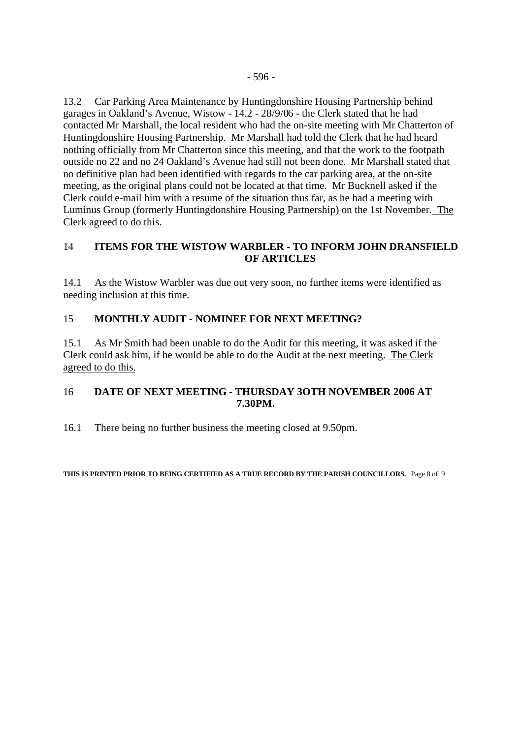13.2 Car Parking Area Maintenance by Huntingdonshire Housing Partnership behind garages in Oakland's Avenue, Wistow - 14.2 - 28/9/06 - the Clerk stated that he had contacted Mr Marshall, the local resident who had the on-site meeting with Mr Chatterton of Huntingdonshire Housing Partnership. Mr Marshall had told the Clerk that he had heard nothing officially from Mr Chatterton since this meeting, and that the work to the footpath outside no 22 and no 24 Oakland's Avenue had still not been done. Mr Marshall stated that no definitive plan had been identified with regards to the car parking area, at the on-site meeting, as the original plans could not be located at that time. Mr Bucknell asked if the Clerk could e-mail him with a resume of the situation thus far, as he had a meeting with Luminus Group (formerly Huntingdonshire Housing Partnership) on the 1st November. The Clerk agreed to do this.

### 14 **ITEMS FOR THE WISTOW WARBLER - TO INFORM JOHN DRANSFIELD OF ARTICLES**

14.1 As the Wistow Warbler was due out very soon, no further items were identified as needing inclusion at this time.

### 15 **MONTHLY AUDIT - NOMINEE FOR NEXT MEETING?**

15.1 As Mr Smith had been unable to do the Audit for this meeting, it was asked if the Clerk could ask him, if he would be able to do the Audit at the next meeting. The Clerk agreed to do this.

#### 16 **DATE OF NEXT MEETING - THURSDAY 3OTH NOVEMBER 2006 AT 7.30PM.**

16.1 There being no further business the meeting closed at 9.50pm.

**THIS IS PRINTED PRIOR TO BEING CERTIFIED AS A TRUE RECORD BY THE PARISH COUNCILLORS.** Page 8 of 9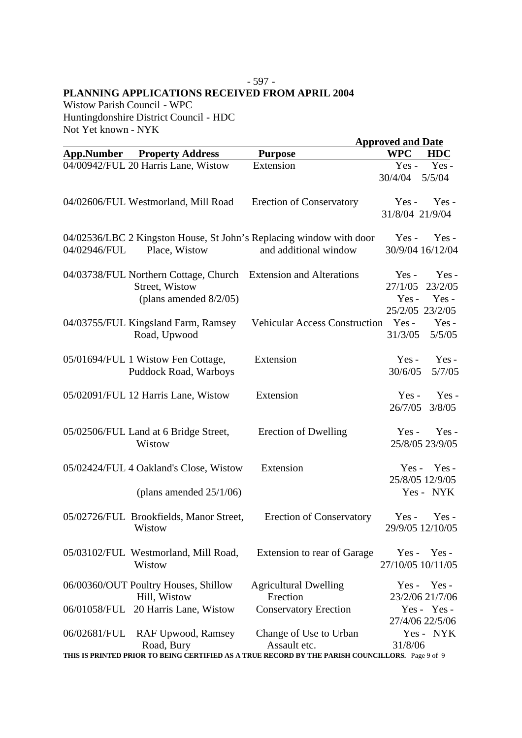#### - 597 - **PLANNING APPLICATIONS RECEIVED FROM APRIL 2004**

Wistow Parish Council - WPC Huntingdonshire District Council - HDC Not Yet known - NYK

|                   |                                                                 |                                                                                                  | <b>Approved and Date</b> |  |
|-------------------|-----------------------------------------------------------------|--------------------------------------------------------------------------------------------------|--------------------------|--|
| <b>App.Number</b> | <b>Property Address</b>                                         | <b>Purpose</b>                                                                                   | <b>WPC</b><br><b>HDC</b> |  |
|                   | 04/00942/FUL 20 Harris Lane, Wistow                             | Extension                                                                                        | Yes-<br>$Yes -$          |  |
|                   |                                                                 |                                                                                                  | 30/4/04<br>5/5/04        |  |
|                   | 04/02606/FUL Westmorland, Mill Road                             | <b>Erection of Conservatory</b>                                                                  | $Yes -$<br>$Yes -$       |  |
|                   |                                                                 |                                                                                                  | 31/8/04 21/9/04          |  |
|                   |                                                                 | 04/02536/LBC 2 Kingston House, St John's Replacing window with door                              | $Yes -$<br>$Yes -$       |  |
| 04/02946/FUL      | Place, Wistow                                                   | and additional window                                                                            | 30/9/04 16/12/04         |  |
|                   | 04/03738/FUL Northern Cottage, Church Extension and Alterations |                                                                                                  | Yes-<br>Yes -            |  |
|                   | Street, Wistow                                                  |                                                                                                  | 27/1/05<br>23/2/05       |  |
|                   | (plans amended $8/2/05$ )                                       |                                                                                                  | $Yes -$<br>$Yes -$       |  |
|                   |                                                                 |                                                                                                  | 25/2/05 23/2/05          |  |
|                   | 04/03755/FUL Kingsland Farm, Ramsey                             | <b>Vehicular Access Construction</b>                                                             | $Yes -$<br>$Yes -$       |  |
|                   | Road, Upwood                                                    |                                                                                                  | 31/3/05<br>5/5/05        |  |
|                   | 05/01694/FUL 1 Wistow Fen Cottage,                              | Extension                                                                                        | Yes-<br>$Yes -$          |  |
|                   | Puddock Road, Warboys                                           |                                                                                                  | 30/6/05<br>5/7/05        |  |
|                   | 05/02091/FUL 12 Harris Lane, Wistow                             | Extension                                                                                        | Yes-<br>$Yes -$          |  |
|                   |                                                                 |                                                                                                  | 26/7/05<br>3/8/05        |  |
|                   | 05/02506/FUL Land at 6 Bridge Street,                           | Erection of Dwelling                                                                             | Yes-<br>$Yes -$          |  |
|                   | Wistow                                                          |                                                                                                  | 25/8/05 23/9/05          |  |
|                   | 05/02424/FUL 4 Oakland's Close, Wistow                          | Extension                                                                                        | $Yes - Yes -$            |  |
|                   |                                                                 |                                                                                                  | 25/8/05 12/9/05          |  |
|                   | (plans amended $25/1/06$ )                                      |                                                                                                  | Yes - NYK                |  |
|                   | 05/02726/FUL Brookfields, Manor Street,                         | <b>Erection of Conservatory</b>                                                                  | $Yes - Yes -$            |  |
|                   | Wistow                                                          |                                                                                                  | 29/9/05 12/10/05         |  |
|                   | 05/03102/FUL Westmorland, Mill Road,                            | Extension to rear of Garage                                                                      | $Yes -$<br>Yes -         |  |
|                   | Wistow                                                          |                                                                                                  | 27/10/05 10/11/05        |  |
|                   | 06/00360/OUT Poultry Houses, Shillow                            | <b>Agricultural Dwelling</b>                                                                     | $Yes - Yes -$            |  |
|                   | Hill, Wistow                                                    | Erection                                                                                         | 23/2/06 21/7/06          |  |
|                   | 06/01058/FUL 20 Harris Lane, Wistow                             | <b>Conservatory Erection</b>                                                                     | Yes - Yes -              |  |
|                   |                                                                 |                                                                                                  | 27/4/06 22/5/06          |  |
| 06/02681/FUL      | <b>RAF Upwood, Ramsey</b><br>Road, Bury                         | Change of Use to Urban<br>Assault etc.                                                           | Yes - NYK<br>31/8/06     |  |
|                   |                                                                 | THIS IS PRINTED PRIOR TO BEING CERTIFIED AS A TRUE RECORD BY THE PARISH COUNCILLORS. Page 9 of 9 |                          |  |